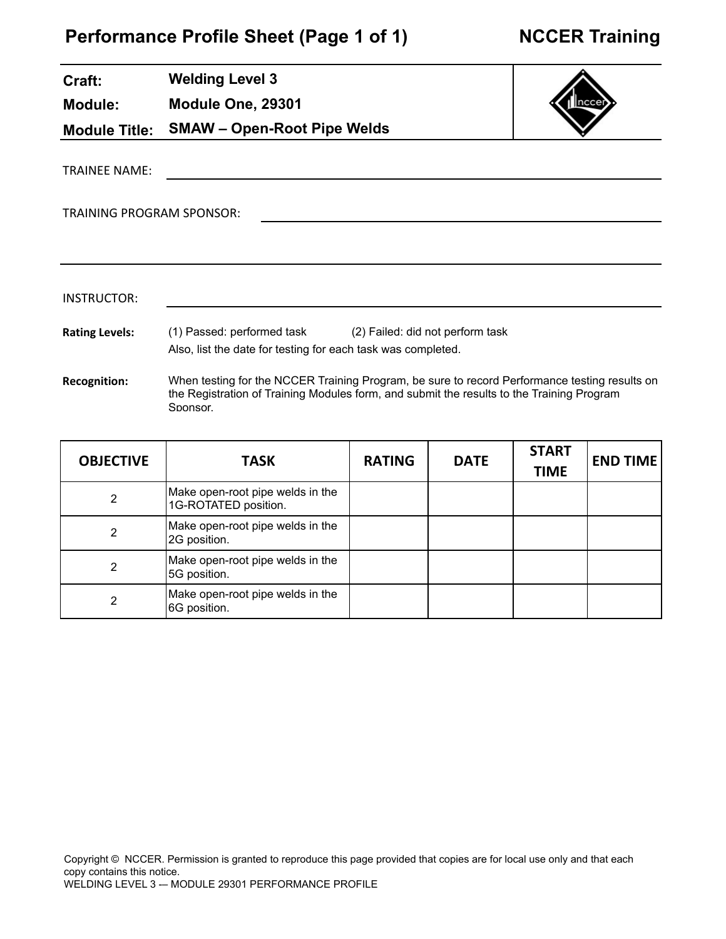# **Performance Profile Sheet (Page 1 of 1) NCCER Training**

 $\overline{a}$ 

| Craft:                    | <b>Welding Level 3</b>                                                                                                                                                                                 |  |
|---------------------------|--------------------------------------------------------------------------------------------------------------------------------------------------------------------------------------------------------|--|
| <b>Module:</b>            | Module One, 29301                                                                                                                                                                                      |  |
| <b>Module Title:</b>      | <b>SMAW - Open-Root Pipe Welds</b>                                                                                                                                                                     |  |
| <b>TRAINEE NAME:</b>      |                                                                                                                                                                                                        |  |
| TRAINING PROGRAM SPONSOR: |                                                                                                                                                                                                        |  |
|                           |                                                                                                                                                                                                        |  |
| INSTRUCTOR:               |                                                                                                                                                                                                        |  |
| <b>Rating Levels:</b>     | (1) Passed: performed task (2) Failed: did not perform task<br>Also, list the date for testing for each task was completed.                                                                            |  |
| <b>Recognition:</b>       | When testing for the NCCER Training Program, be sure to record Performance testing results on<br>the Registration of Training Modules form, and submit the results to the Training Program<br>Sponsor. |  |

| <b>OBJECTIVE</b> | <b>TASK</b>                                              | <b>RATING</b> | <b>DATE</b> | <b>START</b><br><b>TIME</b> | <b>END TIME</b> |
|------------------|----------------------------------------------------------|---------------|-------------|-----------------------------|-----------------|
| 2                | Make open-root pipe welds in the<br>1G-ROTATED position. |               |             |                             |                 |
| 2                | Make open-root pipe welds in the<br>2G position.         |               |             |                             |                 |
| 2                | Make open-root pipe welds in the<br>5G position.         |               |             |                             |                 |
| $\overline{2}$   | Make open-root pipe welds in the<br>6G position.         |               |             |                             |                 |

Copyright © NCCER. Permission is granted to reproduce this page provided that copies are for local use only and that each copy contains this notice.

WELDING LEVEL 3 -- MODULE 29301 PERFORMANCE PROFILE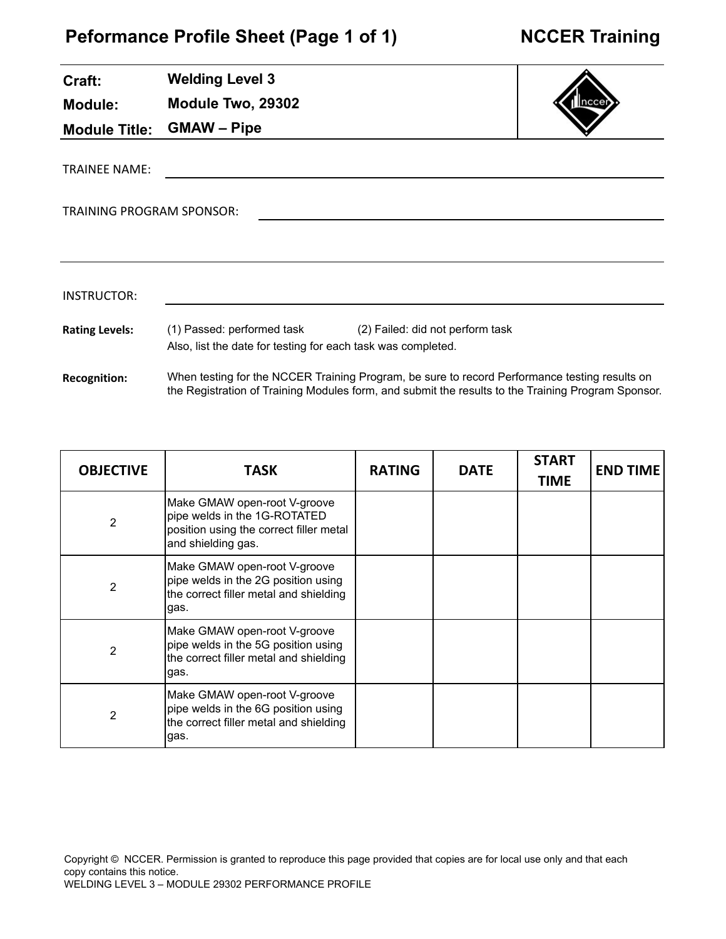## **Peformance Profile Sheet (Page 1 of 1) NCCER Training**

| Craft:                           | <b>Welding Level 3</b>                                                                     |                                                                                                                                                                                                     |      |  |
|----------------------------------|--------------------------------------------------------------------------------------------|-----------------------------------------------------------------------------------------------------------------------------------------------------------------------------------------------------|------|--|
| <b>Module:</b>                   | Module Two, 29302                                                                          |                                                                                                                                                                                                     | пссе |  |
| <b>Module Title:</b>             | <b>GMAW - Pipe</b>                                                                         |                                                                                                                                                                                                     |      |  |
| <b>TRAINEE NAME:</b>             |                                                                                            |                                                                                                                                                                                                     |      |  |
| <b>TRAINING PROGRAM SPONSOR:</b> |                                                                                            |                                                                                                                                                                                                     |      |  |
|                                  |                                                                                            |                                                                                                                                                                                                     |      |  |
|                                  |                                                                                            |                                                                                                                                                                                                     |      |  |
| INSTRUCTOR:                      |                                                                                            |                                                                                                                                                                                                     |      |  |
| <b>Rating Levels:</b>            | (1) Passed: performed task<br>Also, list the date for testing for each task was completed. | (2) Failed: did not perform task                                                                                                                                                                    |      |  |
| <b>Recognition:</b>              |                                                                                            | When testing for the NCCER Training Program, be sure to record Performance testing results on<br>the Registration of Training Modules form, and submit the results to the Training Program Sponsor. |      |  |

| <b>OBJECTIVE</b> | <b>TASK</b>                                                                                                                   | <b>RATING</b> | <b>DATE</b> | <b>START</b><br><b>TIME</b> | <b>END TIME</b> |
|------------------|-------------------------------------------------------------------------------------------------------------------------------|---------------|-------------|-----------------------------|-----------------|
| 2                | Make GMAW open-root V-groove<br>pipe welds in the 1G-ROTATED<br>position using the correct filler metal<br>and shielding gas. |               |             |                             |                 |
| 2                | Make GMAW open-root V-groove<br>pipe welds in the 2G position using<br>the correct filler metal and shielding<br>gas.         |               |             |                             |                 |
| 2                | Make GMAW open-root V-groove<br>pipe welds in the 5G position using<br>the correct filler metal and shielding<br>gas.         |               |             |                             |                 |
| $\overline{2}$   | Make GMAW open-root V-groove<br>pipe welds in the 6G position using<br>the correct filler metal and shielding<br>gas.         |               |             |                             |                 |

Copyright © NCCER. Permission is granted to reproduce this page provided that copies are for local use only and that each copy contains this notice. WELDING LEVEL 3 – MODULE 29302 PERFORMANCE PROFILE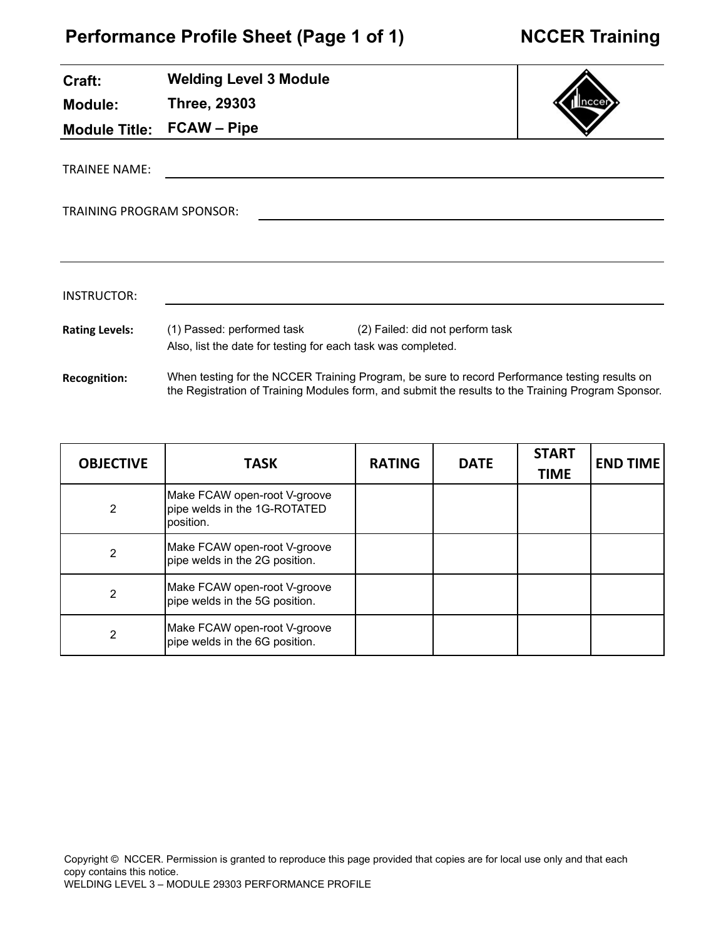### **Performance Profile Sheet (Page 1 of 1)**

| Craft:                           | <b>Welding Level 3 Module</b>                                                                                               |      |
|----------------------------------|-----------------------------------------------------------------------------------------------------------------------------|------|
| <b>Module:</b>                   | <b>Three, 29303</b>                                                                                                         | пссе |
| <b>Module Title:</b>             | <b>FCAW - Pipe</b>                                                                                                          |      |
| <b>TRAINEE NAME:</b>             |                                                                                                                             |      |
| <b>TRAINING PROGRAM SPONSOR:</b> |                                                                                                                             |      |
|                                  |                                                                                                                             |      |
| INSTRUCTOR:                      |                                                                                                                             |      |
|                                  |                                                                                                                             |      |
| <b>Rating Levels:</b>            | (1) Passed: performed task (2) Failed: did not perform task<br>Also, list the date for testing for each task was completed. |      |

**Recognition:** When testing for the NCCER Training Program, be sure to record Performance testing results on the Registration of Training Modules form, and submit the results to the Training Program Sponsor.

| <b>OBJECTIVE</b> | <b>TASK</b>                                                               | <b>RATING</b> | <b>DATE</b> | <b>START</b><br><b>TIME</b> | <b>END TIME</b> |
|------------------|---------------------------------------------------------------------------|---------------|-------------|-----------------------------|-----------------|
| 2                | Make FCAW open-root V-groove<br>pipe welds in the 1G-ROTATED<br>position. |               |             |                             |                 |
| $\overline{2}$   | Make FCAW open-root V-groove<br>pipe welds in the 2G position.            |               |             |                             |                 |
| 2                | Make FCAW open-root V-groove<br>pipe welds in the 5G position.            |               |             |                             |                 |
| 2                | Make FCAW open-root V-groove<br>pipe welds in the 6G position.            |               |             |                             |                 |

Copyright © NCCER. Permission is granted to reproduce this page provided that copies are for local use only and that each copy contains this notice.

WELDING LEVEL 3 – MODULE 29303 PERFORMANCE PROFILE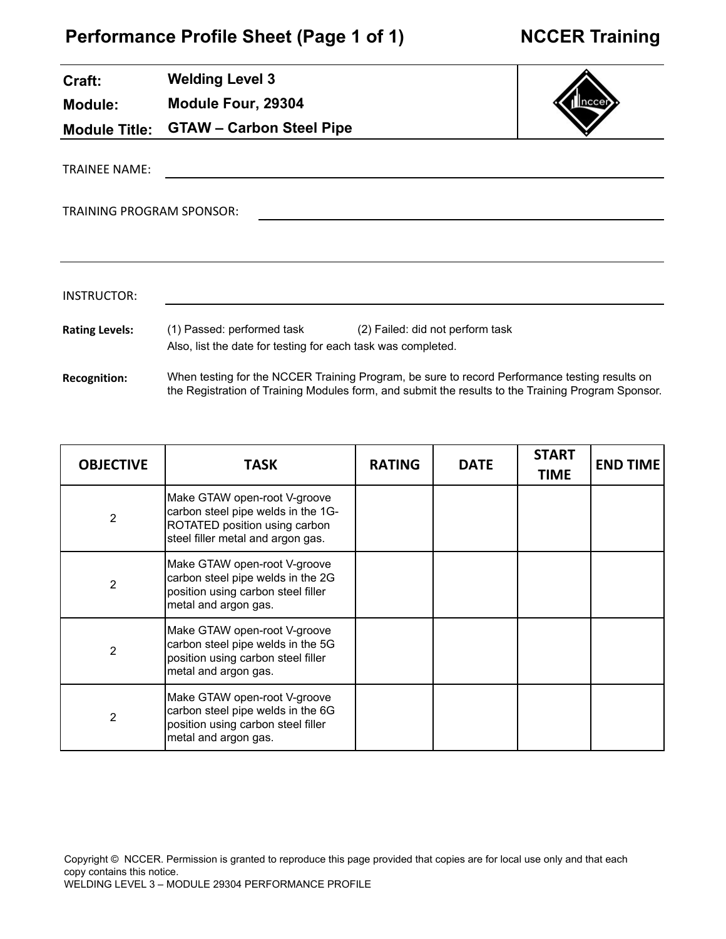## **Performance Profile Sheet (Page 1 of 1) NCCER Training**

J.

| Craft:                    | <b>Welding Level 3</b>                                                                                                                                                                              |                                  |  |
|---------------------------|-----------------------------------------------------------------------------------------------------------------------------------------------------------------------------------------------------|----------------------------------|--|
| Module:                   | Module Four, 29304                                                                                                                                                                                  |                                  |  |
| <b>Module Title:</b>      | <b>GTAW - Carbon Steel Pipe</b>                                                                                                                                                                     |                                  |  |
| TRAINEE NAME:             |                                                                                                                                                                                                     |                                  |  |
| TRAINING PROGRAM SPONSOR: |                                                                                                                                                                                                     |                                  |  |
|                           |                                                                                                                                                                                                     |                                  |  |
| INSTRUCTOR:               |                                                                                                                                                                                                     |                                  |  |
| <b>Rating Levels:</b>     | (1) Passed: performed task<br>Also, list the date for testing for each task was completed.                                                                                                          | (2) Failed: did not perform task |  |
| <b>Recognition:</b>       | When testing for the NCCER Training Program, be sure to record Performance testing results on<br>the Registration of Training Modules form, and submit the results to the Training Program Sponsor. |                                  |  |

| <b>OBJECTIVE</b> | <b>TASK</b>                                                                                                                              | <b>RATING</b> | <b>DATE</b> | <b>START</b><br><b>TIME</b> | <b>END TIME</b> |
|------------------|------------------------------------------------------------------------------------------------------------------------------------------|---------------|-------------|-----------------------------|-----------------|
| $\overline{2}$   | Make GTAW open-root V-groove<br>carbon steel pipe welds in the 1G-<br>ROTATED position using carbon<br>steel filler metal and argon gas. |               |             |                             |                 |
| $\overline{2}$   | Make GTAW open-root V-groove<br>carbon steel pipe welds in the 2G<br>position using carbon steel filler<br>metal and argon gas.          |               |             |                             |                 |
| $\overline{2}$   | Make GTAW open-root V-groove<br>carbon steel pipe welds in the 5G<br>position using carbon steel filler<br>metal and argon gas.          |               |             |                             |                 |
| 2                | Make GTAW open-root V-groove<br>carbon steel pipe welds in the 6G<br>position using carbon steel filler<br>metal and argon gas.          |               |             |                             |                 |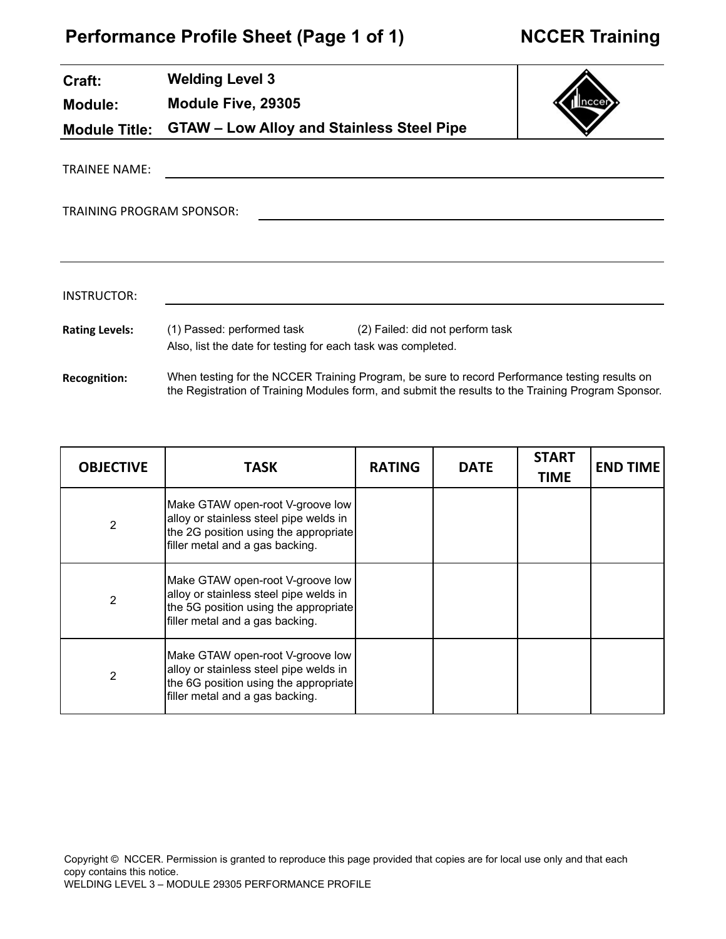# **Performance Profile Sheet (Page 1 of 1) NCCER Training**

| Craft:                           | <b>Welding Level 3</b>                                                                                                                                                                              |               |                                  |              |                 |
|----------------------------------|-----------------------------------------------------------------------------------------------------------------------------------------------------------------------------------------------------|---------------|----------------------------------|--------------|-----------------|
| <b>Module:</b>                   | Module Five, 29305                                                                                                                                                                                  |               |                                  |              |                 |
| <b>Module Title:</b>             | <b>GTAW - Low Alloy and Stainless Steel Pipe</b>                                                                                                                                                    |               |                                  |              |                 |
| <b>TRAINEE NAME:</b>             |                                                                                                                                                                                                     |               |                                  |              |                 |
| <b>TRAINING PROGRAM SPONSOR:</b> |                                                                                                                                                                                                     |               |                                  |              |                 |
|                                  |                                                                                                                                                                                                     |               |                                  |              |                 |
|                                  |                                                                                                                                                                                                     |               |                                  |              |                 |
| INSTRUCTOR:                      |                                                                                                                                                                                                     |               |                                  |              |                 |
| <b>Rating Levels:</b>            | (1) Passed: performed task<br>Also, list the date for testing for each task was completed.                                                                                                          |               | (2) Failed: did not perform task |              |                 |
| <b>Recognition:</b>              | When testing for the NCCER Training Program, be sure to record Performance testing results on<br>the Registration of Training Modules form, and submit the results to the Training Program Sponsor. |               |                                  |              |                 |
|                                  |                                                                                                                                                                                                     |               |                                  |              |                 |
| <b>OBJECTIVE</b>                 | TASK                                                                                                                                                                                                | <b>RATING</b> | DATE                             | <b>START</b> | <b>END TIME</b> |

| <b>OBJECTIVE</b> | <b>TASK</b>                                                                                                                                            | <b>RATING</b> | <b>DATE</b> | .<br><b>TIME</b> | <b>END TIME</b> |
|------------------|--------------------------------------------------------------------------------------------------------------------------------------------------------|---------------|-------------|------------------|-----------------|
| 2                | Make GTAW open-root V-groove low<br>alloy or stainless steel pipe welds in<br>the 2G position using the appropriate<br>filler metal and a gas backing. |               |             |                  |                 |
| 2                | Make GTAW open-root V-groove low<br>alloy or stainless steel pipe welds in<br>the 5G position using the appropriate<br>filler metal and a gas backing. |               |             |                  |                 |
| 2                | Make GTAW open-root V-groove low<br>alloy or stainless steel pipe welds in<br>the 6G position using the appropriate<br>filler metal and a gas backing. |               |             |                  |                 |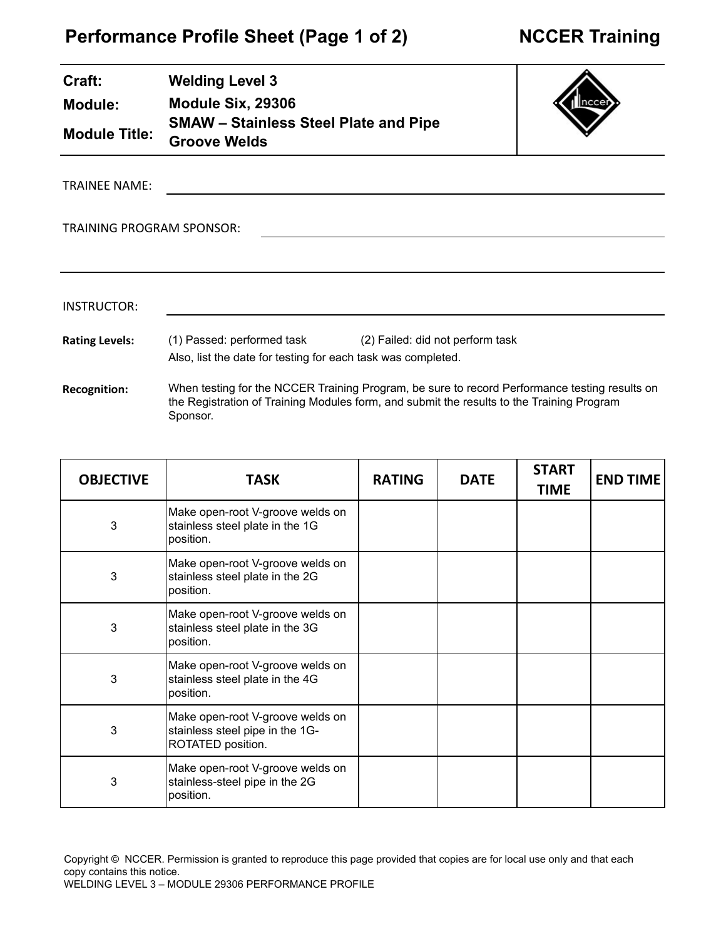### **Performance Profile Sheet (Page 1 of 2) NCCER Training**

Sponsor.

| Craft:                              | <b>Welding Level 3</b>                                              |                                                                                                                                                                                            |  |
|-------------------------------------|---------------------------------------------------------------------|--------------------------------------------------------------------------------------------------------------------------------------------------------------------------------------------|--|
| Module Six, 29306<br><b>Module:</b> |                                                                     |                                                                                                                                                                                            |  |
| <b>Module Title:</b>                | <b>SMAW - Stainless Steel Plate and Pipe</b><br><b>Groove Welds</b> |                                                                                                                                                                                            |  |
| <b>TRAINEE NAME:</b>                |                                                                     |                                                                                                                                                                                            |  |
| <b>TRAINING PROGRAM SPONSOR:</b>    |                                                                     |                                                                                                                                                                                            |  |
| INSTRUCTOR:                         |                                                                     |                                                                                                                                                                                            |  |
| <b>Rating Levels:</b>               | Also, list the date for testing for each task was completed.        | (1) Passed: performed task (2) Failed: did not perform task                                                                                                                                |  |
| <b>Recognition:</b>                 |                                                                     | When testing for the NCCER Training Program, be sure to record Performance testing results on<br>the Registration of Training Modules form, and submit the results to the Training Program |  |

| <b>OBJECTIVE</b> | <b>TASK</b>                                                                              | <b>RATING</b> | <b>DATE</b> | <b>START</b><br><b>TIME</b> | <b>END TIME</b> |
|------------------|------------------------------------------------------------------------------------------|---------------|-------------|-----------------------------|-----------------|
| 3                | Make open-root V-groove welds on<br>stainless steel plate in the 1G<br>position.         |               |             |                             |                 |
| 3                | Make open-root V-groove welds on<br>stainless steel plate in the 2G<br>position.         |               |             |                             |                 |
| 3                | Make open-root V-groove welds on<br>stainless steel plate in the 3G<br>position.         |               |             |                             |                 |
| 3                | Make open-root V-groove welds on<br>stainless steel plate in the 4G<br>position.         |               |             |                             |                 |
| 3                | Make open-root V-groove welds on<br>stainless steel pipe in the 1G-<br>ROTATED position. |               |             |                             |                 |
| 3                | Make open-root V-groove welds on<br>stainless-steel pipe in the 2G<br>position.          |               |             |                             |                 |

Copyright © NCCER. Permission is granted to reproduce this page provided that copies are for local use only and that each copy contains this notice.